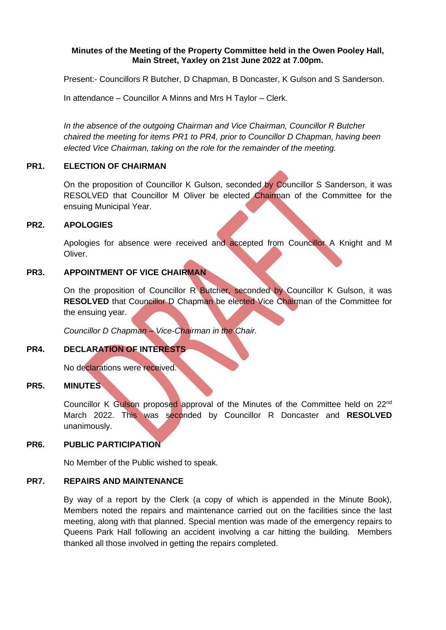### **Minutes of the Meeting of the Property Committee held in the Owen Pooley Hall, Main Street, Yaxley on 21st June 2022 at 7.00pm.**

Present:- Councillors R Butcher, D Chapman, B Doncaster, K Gulson and S Sanderson.

In attendance – Councillor A Minns and Mrs H Taylor – Clerk.

*In the absence of the outgoing Chairman and Vice Chairman, Councillor R Butcher chaired the meeting for items PR1 to PR4, prior to Councillor D Chapman, having been elected Vice Chairman, taking on the role for the remainder of the meeting.* 

## **PR1. ELECTION OF CHAIRMAN**

On the proposition of Councillor K Gulson, seconded by Councillor S Sanderson, it was RESOLVED that Councillor M Oliver be elected Chairman of the Committee for the ensuing Municipal Year.

## **PR2. APOLOGIES**

Apologies for absence were received and accepted from Councillor A Knight and M Oliver.

## **PR3. APPOINTMENT OF VICE CHAIRMAN**

On the proposition of Councillor R Butcher, seconded by Councillor K Gulson, it was **RESOLVED** that Councillor D Chapman be elected Vice Chairman of the Committee for the ensuing year.

*Councillor D Chapman – Vice-Chairman in the Chair.*

# **PR4. DECLARATION OF INTERESTS**

No declarations were received.

# **PR5. MINUTES**

Councillor K Gulson proposed approval of the Minutes of the Committee held on 22<sup>nd</sup> March 2022. This was seconded by Councillor R Doncaster and **RESOLVED** unanimously.

## **PR6. PUBLIC PARTICIPATION**

No Member of the Public wished to speak.

#### **PR7. REPAIRS AND MAINTENANCE**

By way of a report by the Clerk (a copy of which is appended in the Minute Book), Members noted the repairs and maintenance carried out on the facilities since the last meeting, along with that planned. Special mention was made of the emergency repairs to Queens Park Hall following an accident involving a car hitting the building. Members thanked all those involved in getting the repairs completed.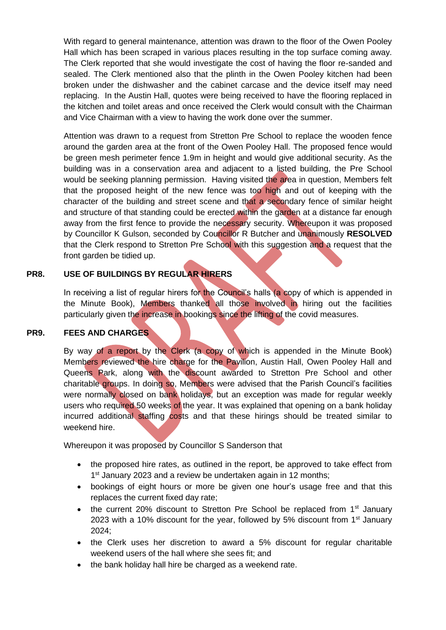With regard to general maintenance, attention was drawn to the floor of the Owen Pooley Hall which has been scraped in various places resulting in the top surface coming away. The Clerk reported that she would investigate the cost of having the floor re-sanded and sealed. The Clerk mentioned also that the plinth in the Owen Pooley kitchen had been broken under the dishwasher and the cabinet carcase and the device itself may need replacing. In the Austin Hall, quotes were being received to have the flooring replaced in the kitchen and toilet areas and once received the Clerk would consult with the Chairman and Vice Chairman with a view to having the work done over the summer.

Attention was drawn to a request from Stretton Pre School to replace the wooden fence around the garden area at the front of the Owen Pooley Hall. The proposed fence would be green mesh perimeter fence 1.9m in height and would give additional security. As the building was in a conservation area and adjacent to a listed building, the Pre School would be seeking planning permission. Having visited the area in question, Members felt that the proposed height of the new fence was too high and out of keeping with the character of the building and street scene and that a secondary fence of similar height and structure of that standing could be erected within the garden at a distance far enough away from the first fence to provide the necessary security. Whereupon it was proposed by Councillor K Gulson, seconded by Councillor R Butcher and unanimously **RESOLVED**  that the Clerk respond to Stretton Pre School with this suggestion and a request that the front garden be tidied up.

# **PR8. USE OF BUILDINGS BY REGULAR HIRERS**

In receiving a list of regular hirers for the Council's halls (a copy of which is appended in the Minute Book), Members thanked all those involved in hiring out the facilities particularly given the increase in bookings since the lifting of the covid measures.

# **PR9. FEES AND CHARGES**

By way of a report by the Clerk (a copy of which is appended in the Minute Book) Members reviewed the hire charge for the Pavilion, Austin Hall, Owen Pooley Hall and Queens Park, along with the discount awarded to Stretton Pre School and other charitable groups. In doing so, Members were advised that the Parish Council's facilities were normally closed on bank holidays, but an exception was made for regular weekly users who required 50 weeks of the year. It was explained that opening on a bank holiday incurred additional staffing costs and that these hirings should be treated similar to weekend hire.

Whereupon it was proposed by Councillor S Sanderson that

- the proposed hire rates, as outlined in the report, be approved to take effect from 1<sup>st</sup> January 2023 and a review be undertaken again in 12 months;
- bookings of eight hours or more be given one hour's usage free and that this replaces the current fixed day rate;
- the current 20% discount to Stretton Pre School be replaced from  $1<sup>st</sup>$  January 2023 with a 10% discount for the year, followed by 5% discount from 1<sup>st</sup> January 2024;
- the Clerk uses her discretion to award a 5% discount for regular charitable weekend users of the hall where she sees fit; and
- the bank holiday hall hire be charged as a weekend rate.